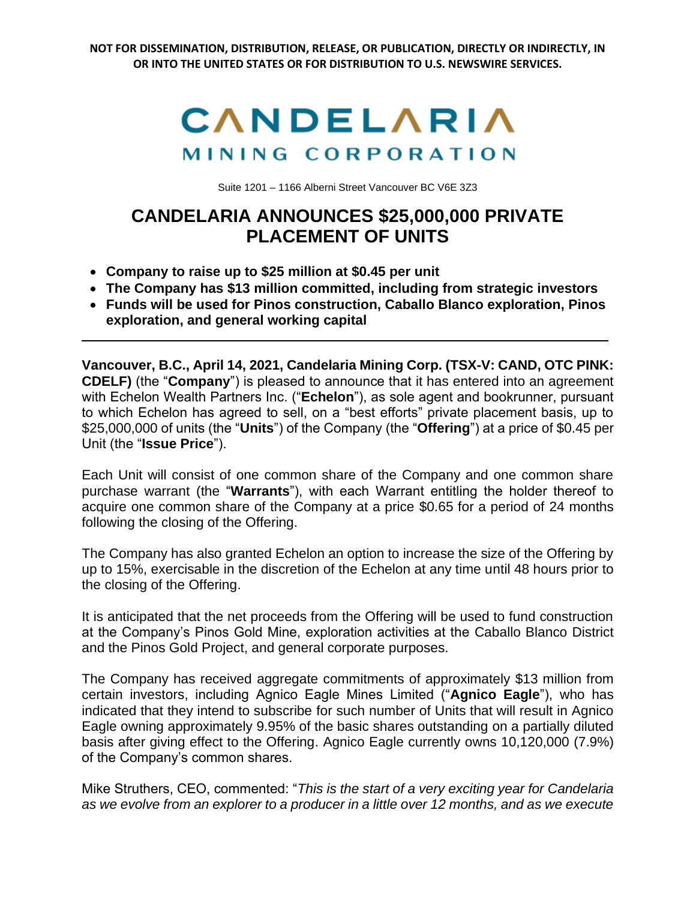**NOT FOR DISSEMINATION, DISTRIBUTION, RELEASE, OR PUBLICATION, DIRECTLY OR INDIRECTLY, IN OR INTO THE UNITED STATES OR FOR DISTRIBUTION TO U.S. NEWSWIRE SERVICES.**



Suite 1201 – 1166 Alberni Street Vancouver BC V6E 3Z3

## **CANDELARIA ANNOUNCES \$25,000,000 PRIVATE PLACEMENT OF UNITS**

- **Company to raise up to \$25 million at \$0.45 per unit**
- **The Company has \$13 million committed, including from strategic investors**
- **Funds will be used for Pinos construction, Caballo Blanco exploration, Pinos exploration, and general working capital**

**Vancouver, B.C., April 14, 2021, Candelaria Mining Corp. (TSX-V: CAND, OTC PINK: CDELF)** (the "**Company**") is pleased to announce that it has entered into an agreement with Echelon Wealth Partners Inc. ("**Echelon**"), as sole agent and bookrunner, pursuant to which Echelon has agreed to sell, on a "best efforts" private placement basis, up to \$25,000,000 of units (the "**Units**") of the Company (the "**Offering**") at a price of \$0.45 per Unit (the "**Issue Price**").

Each Unit will consist of one common share of the Company and one common share purchase warrant (the "**Warrants**"), with each Warrant entitling the holder thereof to acquire one common share of the Company at a price \$0.65 for a period of 24 months following the closing of the Offering.

The Company has also granted Echelon an option to increase the size of the Offering by up to 15%, exercisable in the discretion of the Echelon at any time until 48 hours prior to the closing of the Offering.

It is anticipated that the net proceeds from the Offering will be used to fund construction at the Company's Pinos Gold Mine, exploration activities at the Caballo Blanco District and the Pinos Gold Project, and general corporate purposes.

The Company has received aggregate commitments of approximately \$13 million from certain investors, including Agnico Eagle Mines Limited ("**Agnico Eagle**"), who has indicated that they intend to subscribe for such number of Units that will result in Agnico Eagle owning approximately 9.95% of the basic shares outstanding on a partially diluted basis after giving effect to the Offering. Agnico Eagle currently owns 10,120,000 (7.9%) of the Company's common shares.

Mike Struthers, CEO, commented: "*This is the start of a very exciting year for Candelaria as we evolve from an explorer to a producer in a little over 12 months, and as we execute*